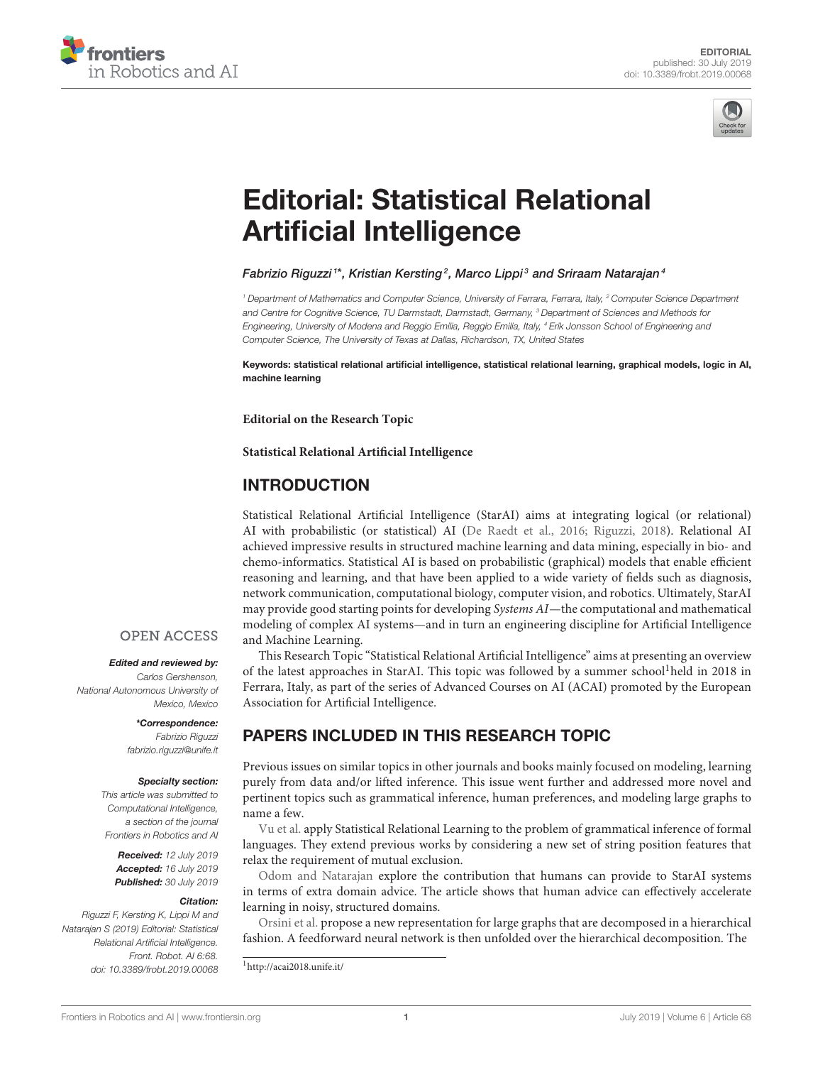



# [Editorial: Statistical Relational](https://www.frontiersin.org/articles/10.3389/frobt.2019.00068/full) Artificial Intelligence

### [Fabrizio Riguzzi](http://loop.frontiersin.org/people/142637/overview) $^{\text{\tiny{1}*}}$ , [Kristian Kersting](http://loop.frontiersin.org/people/321053/overview) $^{\text{\tiny{2}}}$ , [Marco Lippi](http://loop.frontiersin.org/people/398480/overview) $^{\text{\tiny{3}}}$  and [Sriraam Natarajan](http://loop.frontiersin.org/people/399203/overview) $^{\text{\tiny{4}}}$

*<sup>1</sup> Department of Mathematics and Computer Science, University of Ferrara, Ferrara, Italy, <sup>2</sup> Computer Science Department and Centre for Cognitive Science, TU Darmstadt, Darmstadt, Germany, <sup>3</sup> Department of Sciences and Methods for Engineering, University of Modena and Reggio Emilia, Reggio Emilia, Italy, <sup>4</sup> Erik Jonsson School of Engineering and Computer Science, The University of Texas at Dallas, Richardson, TX, United States*

Keywords: statistical relational artificial intelligence, statistical relational learning, graphical models, logic in AI, machine learning

**Editorial on the Research Topic**

**[Statistical Relational Artificial Intelligence](https://www.frontiersin.org/research-topics/5640/statistical-relational-artificial-intelligence)**

# INTRODUCTION

Statistical Relational Artificial Intelligence (StarAI) aims at integrating logical (or relational) AI with probabilistic (or statistical) AI [\(De Raedt et al., 2016;](#page-1-0) [Riguzzi, 2018\)](#page-1-1). Relational AI achieved impressive results in structured machine learning and data mining, especially in bio- and chemo-informatics. Statistical AI is based on probabilistic (graphical) models that enable efficient reasoning and learning, and that have been applied to a wide variety of fields such as diagnosis, network communication, computational biology, computer vision, and robotics. Ultimately, StarAI may provide good starting points for developing Systems AI—the computational and mathematical modeling of complex AI systems—and in turn an engineering discipline for Artificial Intelligence and Machine Learning.

This Research Topic "Statistical Relational Artificial Intelligence" aims at presenting an overview of the latest approaches in StarAI. This topic was followed by a summer school<sup>1</sup>held in 2018 in Ferrara, Italy, as part of the series of Advanced Courses on AI (ACAI) promoted by the European Association for Artificial Intelligence.

# PAPERS INCLUDED IN THIS RESEARCH TOPIC

Previous issues on similar topics in other journals and books mainly focused on modeling, learning purely from data and/or lifted inference. This issue went further and addressed more novel and pertinent topics such as grammatical inference, human preferences, and modeling large graphs to name a few.

[Vu et al.](https://doi.org/10.3389/frobt.2018.00076) apply Statistical Relational Learning to the problem of grammatical inference of formal languages. They extend previous works by considering a new set of string position features that relax the requirement of mutual exclusion.

[Odom and Natarajan](https://doi.org/10.3389/frobt.2018.00056) explore the contribution that humans can provide to StarAI systems in terms of extra domain advice. The article shows that human advice can effectively accelerate learning in noisy, structured domains.

[Orsini et al.](https://doi.org/10.3389/frobt.2018.00042) propose a new representation for large graphs that are decomposed in a hierarchical fashion. A feedforward neural network is then unfolded over the hierarchical decomposition. The

<sup>1</sup><http://acai2018.unife.it/>

# **OPEN ACCESS**

#### Edited and reviewed by:

*Carlos Gershenson, National Autonomous University of Mexico, Mexico*

#### \*Correspondence: *Fabrizio Riguzzi*

*[fabrizio.riguzzi@unife.it](mailto:fabrizio.riguzzi@unife.it)*

#### Specialty section:

*This article was submitted to Computational Intelligence, a section of the journal Frontiers in Robotics and AI*

Received: *12 July 2019* Accepted: *16 July 2019* Published: *30 July 2019*

#### Citation:

*Riguzzi F, Kersting K, Lippi M and Natarajan S (2019) Editorial: Statistical Relational Artificial Intelligence. Front. Robot. AI 6:68. doi: [10.3389/frobt.2019.00068](https://doi.org/10.3389/frobt.2019.00068)*